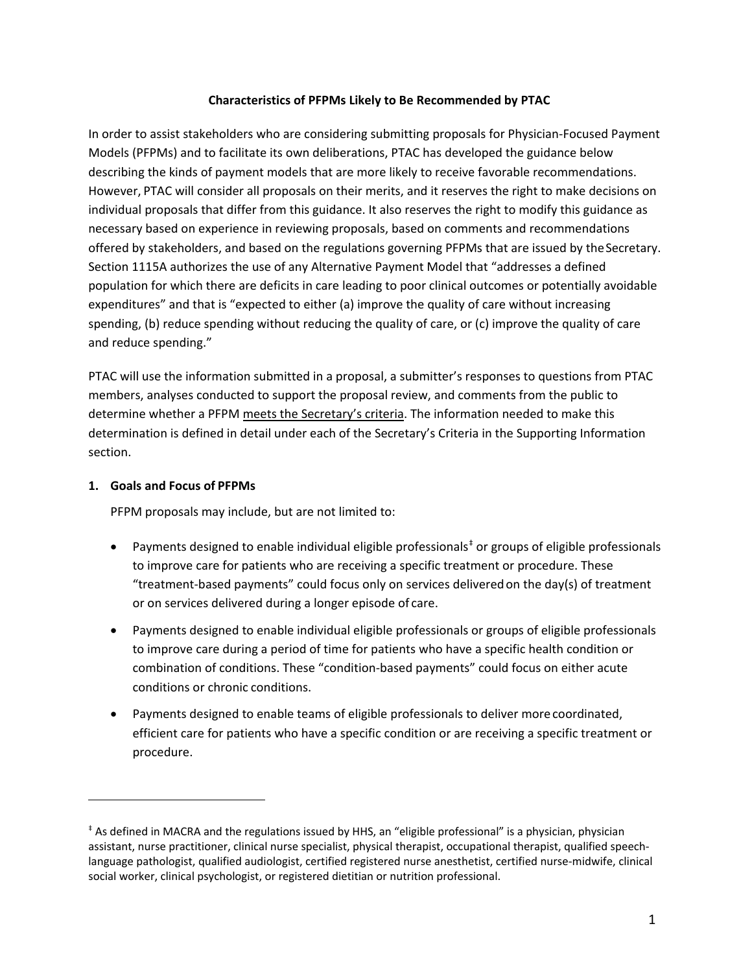#### **Characteristics of PFPMs Likely to Be Recommended by PTAC**

In order to assist stakeholders who are considering submitting proposals for Physician-Focused Payment Models (PFPMs) and to facilitate its own deliberations, PTAC has developed the guidance below describing the kinds of payment models that are more likely to receive favorable recommendations. However, PTAC will consider all proposals on their merits, and it reserves the right to make decisions on individual proposals that differ from this guidance. It also reserves the right to modify this guidance as necessary based on experience in reviewing proposals, based on comments and recommendations offered by stakeholders, and based on the regulations governing PFPMs that are issued by theSecretary. Section 1115A authorizes the use of any Alternative Payment Model that "addresses a defined population for which there are deficits in care leading to poor clinical outcomes or potentially avoidable expenditures" and that is "expected to either (a) improve the quality of care without increasing spending, (b) reduce spending without reducing the quality of care, or (c) improve the quality of care and reduce spending."

PTAC will use the information submitted in a proposal, a submitter's responses to questions from PTAC members, analyses conducted to support the proposal review, and comments from the public to determine whether a PFPM meets the Secretary's criteria. The information needed to make this determination is defined in detail under each of the Secretary's Criteria in the Supporting Information section.

#### **1. Goals and Focus of PFPMs**

 $\overline{\phantom{a}}$ 

PFPM proposals may include, but are not limited to:

- Payments designed to enable individual eligible professionals<sup>[‡](#page-0-0)</sup> or groups of eligible professionals to improve care for patients who are receiving a specific treatment or procedure. These "treatment-based payments" could focus only on services deliveredon the day(s) of treatment or on services delivered during a longer episode of care.
- Payments designed to enable individual eligible professionals or groups of eligible professionals to improve care during a period of time for patients who have a specific health condition or combination of conditions. These "condition-based payments" could focus on either acute conditions or chronic conditions.
- Payments designed to enable teams of eligible professionals to deliver more coordinated, efficient care for patients who have a specific condition or are receiving a specific treatment or procedure.

<span id="page-0-0"></span><sup>‡</sup> As defined in MACRA and the regulations issued by HHS, an "eligible professional" is a physician, physician assistant, nurse practitioner, clinical nurse specialist, physical therapist, occupational therapist, qualified speechlanguage pathologist, qualified audiologist, certified registered nurse anesthetist, certified nurse-midwife, clinical social worker, clinical psychologist, or registered dietitian or nutrition professional.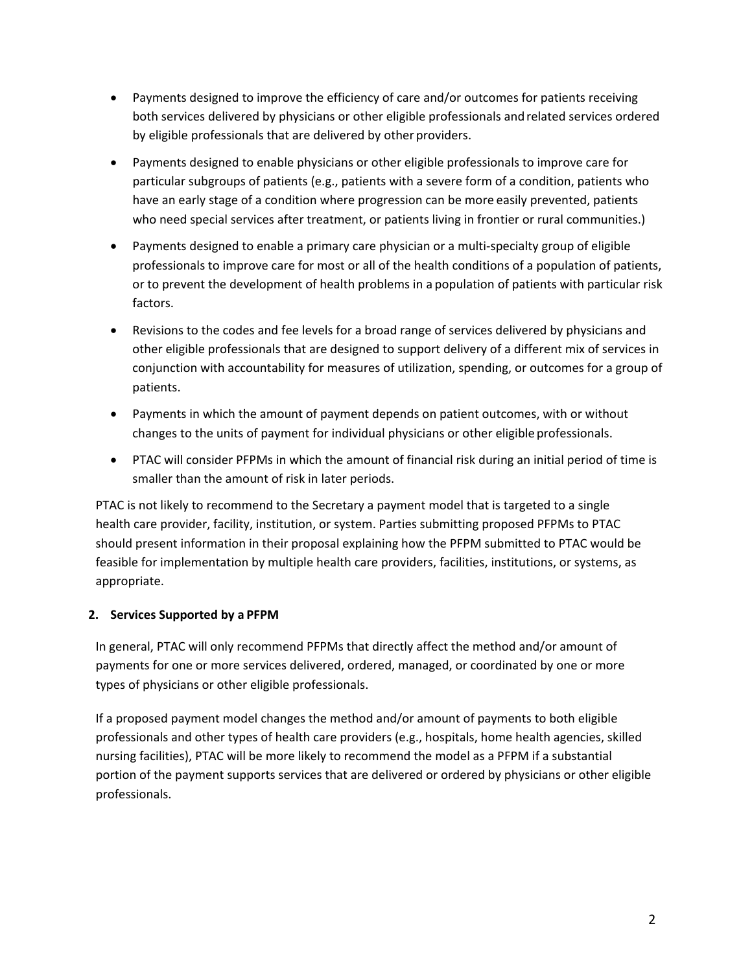- Payments designed to improve the efficiency of care and/or outcomes for patients receiving both services delivered by physicians or other eligible professionals andrelated services ordered by eligible professionals that are delivered by other providers.
- Payments designed to enable physicians or other eligible professionals to improve care for particular subgroups of patients (e.g., patients with a severe form of a condition, patients who have an early stage of a condition where progression can be more easily prevented, patients who need special services after treatment, or patients living in frontier or rural communities.)
- Payments designed to enable a primary care physician or a multi-specialty group of eligible professionals to improve care for most or all of the health conditions of a population of patients, or to prevent the development of health problems in a population of patients with particular risk factors.
- Revisions to the codes and fee levels for a broad range of services delivered by physicians and other eligible professionals that are designed to support delivery of a different mix of services in conjunction with accountability for measures of utilization, spending, or outcomes for a group of patients.
- Payments in which the amount of payment depends on patient outcomes, with or without changes to the units of payment for individual physicians or other eligible professionals.
- PTAC will consider PFPMs in which the amount of financial risk during an initial period of time is smaller than the amount of risk in later periods.

PTAC is not likely to recommend to the Secretary a payment model that is targeted to a single health care provider, facility, institution, or system. Parties submitting proposed PFPMs to PTAC should present information in their proposal explaining how the PFPM submitted to PTAC would be feasible for implementation by multiple health care providers, facilities, institutions, or systems, as appropriate.

# **2. Services Supported by a PFPM**

In general, PTAC will only recommend PFPMs that directly affect the method and/or amount of payments for one or more services delivered, ordered, managed, or coordinated by one or more types of physicians or other eligible professionals.

If a proposed payment model changes the method and/or amount of payments to both eligible professionals and other types of health care providers (e.g., hospitals, home health agencies, skilled nursing facilities), PTAC will be more likely to recommend the model as a PFPM if a substantial portion of the payment supports services that are delivered or ordered by physicians or other eligible professionals.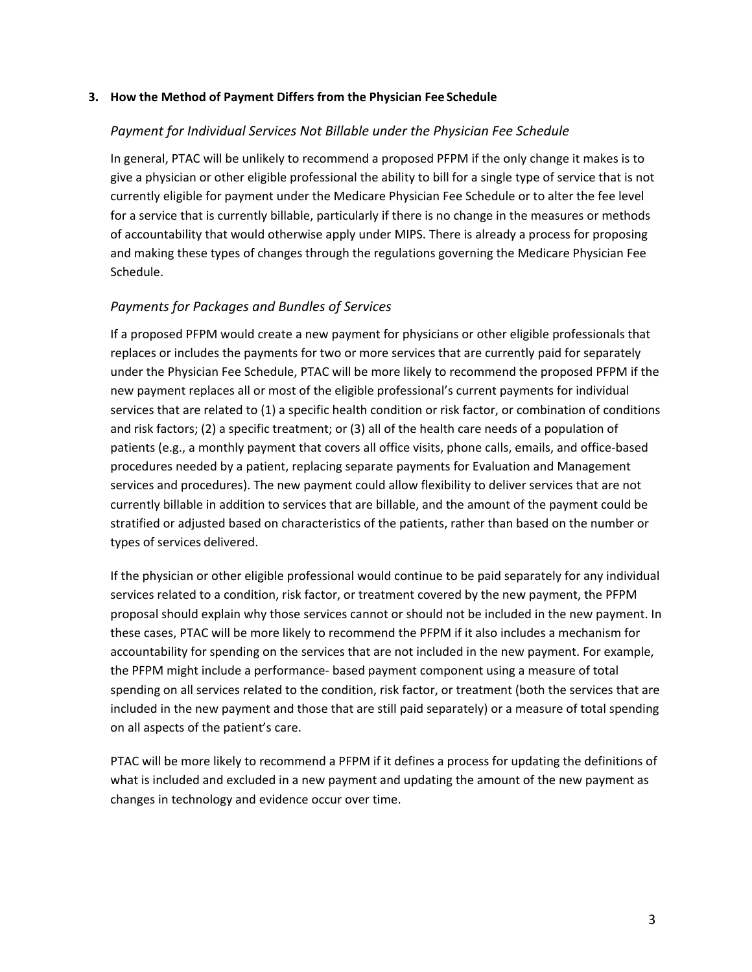#### **3. How the Method of Payment Differs from the Physician Fee Schedule**

#### *Payment for Individual Services Not Billable under the Physician Fee Schedule*

In general, PTAC will be unlikely to recommend a proposed PFPM if the only change it makes is to give a physician or other eligible professional the ability to bill for a single type of service that is not currently eligible for payment under the Medicare Physician Fee Schedule or to alter the fee level for a service that is currently billable, particularly if there is no change in the measures or methods of accountability that would otherwise apply under MIPS. There is already a process for proposing and making these types of changes through the regulations governing the Medicare Physician Fee Schedule.

### *Payments for Packages and Bundles of Services*

If a proposed PFPM would create a new payment for physicians or other eligible professionals that replaces or includes the payments for two or more services that are currently paid for separately under the Physician Fee Schedule, PTAC will be more likely to recommend the proposed PFPM if the new payment replaces all or most of the eligible professional's current payments for individual services that are related to (1) a specific health condition or risk factor, or combination of conditions and risk factors; (2) a specific treatment; or (3) all of the health care needs of a population of patients (e.g., a monthly payment that covers all office visits, phone calls, emails, and office-based procedures needed by a patient, replacing separate payments for Evaluation and Management services and procedures). The new payment could allow flexibility to deliver services that are not currently billable in addition to services that are billable, and the amount of the payment could be stratified or adjusted based on characteristics of the patients, rather than based on the number or types of services delivered.

If the physician or other eligible professional would continue to be paid separately for any individual services related to a condition, risk factor, or treatment covered by the new payment, the PFPM proposal should explain why those services cannot or should not be included in the new payment. In these cases, PTAC will be more likely to recommend the PFPM if it also includes a mechanism for accountability for spending on the services that are not included in the new payment. For example, the PFPM might include a performance- based payment component using a measure of total spending on all services related to the condition, risk factor, or treatment (both the services that are included in the new payment and those that are still paid separately) or a measure of total spending on all aspects of the patient's care.

PTAC will be more likely to recommend a PFPM if it defines a process for updating the definitions of what is included and excluded in a new payment and updating the amount of the new payment as changes in technology and evidence occur over time.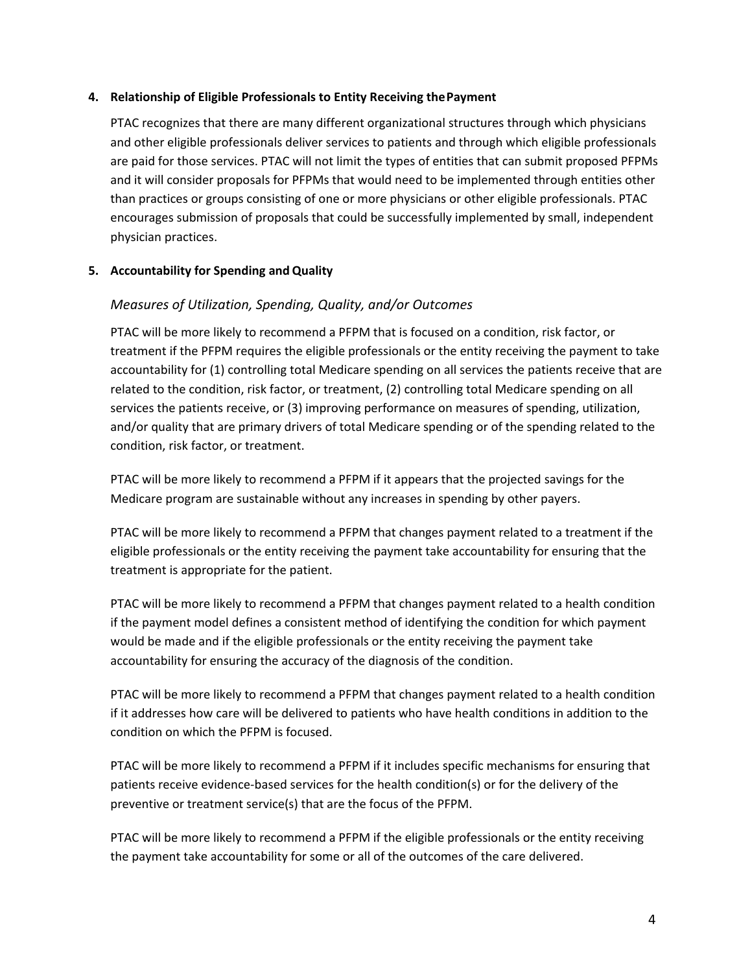#### **4. Relationship of Eligible Professionals to Entity Receiving thePayment**

PTAC recognizes that there are many different organizational structures through which physicians and other eligible professionals deliver services to patients and through which eligible professionals are paid for those services. PTAC will not limit the types of entities that can submit proposed PFPMs and it will consider proposals for PFPMs that would need to be implemented through entities other than practices or groups consisting of one or more physicians or other eligible professionals. PTAC encourages submission of proposals that could be successfully implemented by small, independent physician practices.

# **5. Accountability for Spending andQuality**

# *Measures of Utilization, Spending, Quality, and/or Outcomes*

PTAC will be more likely to recommend a PFPM that is focused on a condition, risk factor, or treatment if the PFPM requires the eligible professionals or the entity receiving the payment to take accountability for (1) controlling total Medicare spending on all services the patients receive that are related to the condition, risk factor, or treatment, (2) controlling total Medicare spending on all services the patients receive, or (3) improving performance on measures of spending, utilization, and/or quality that are primary drivers of total Medicare spending or of the spending related to the condition, risk factor, or treatment.

PTAC will be more likely to recommend a PFPM if it appears that the projected savings for the Medicare program are sustainable without any increases in spending by other payers.

PTAC will be more likely to recommend a PFPM that changes payment related to a treatment if the eligible professionals or the entity receiving the payment take accountability for ensuring that the treatment is appropriate for the patient.

PTAC will be more likely to recommend a PFPM that changes payment related to a health condition if the payment model defines a consistent method of identifying the condition for which payment would be made and if the eligible professionals or the entity receiving the payment take accountability for ensuring the accuracy of the diagnosis of the condition.

PTAC will be more likely to recommend a PFPM that changes payment related to a health condition if it addresses how care will be delivered to patients who have health conditions in addition to the condition on which the PFPM is focused.

PTAC will be more likely to recommend a PFPM if it includes specific mechanisms for ensuring that patients receive evidence-based services for the health condition(s) or for the delivery of the preventive or treatment service(s) that are the focus of the PFPM.

PTAC will be more likely to recommend a PFPM if the eligible professionals or the entity receiving the payment take accountability for some or all of the outcomes of the care delivered.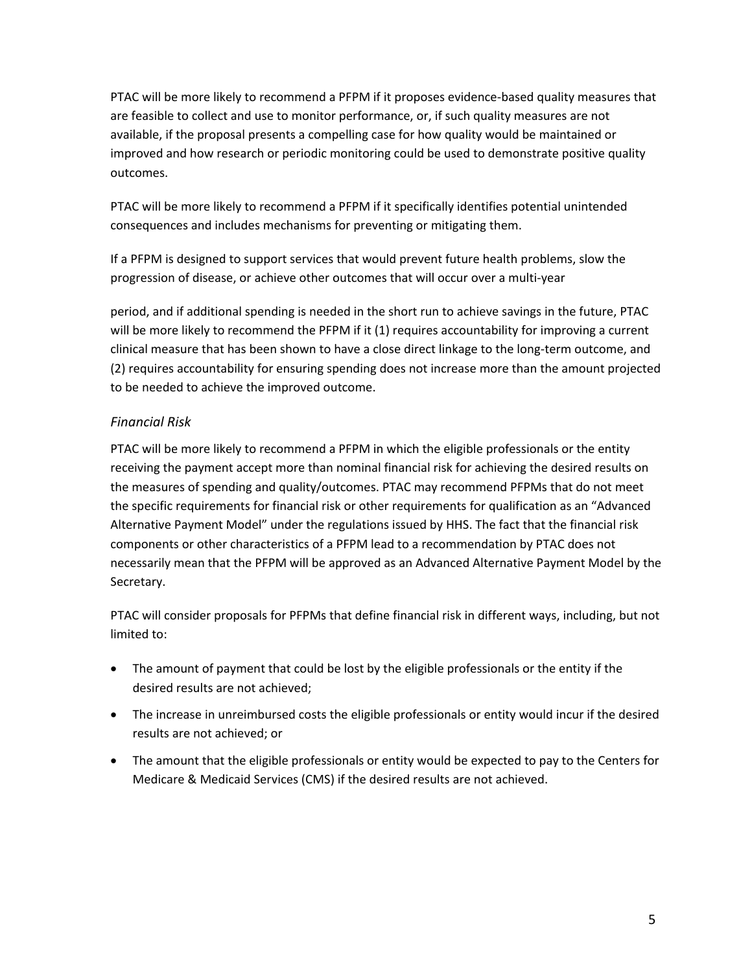PTAC will be more likely to recommend a PFPM if it proposes evidence-based quality measures that are feasible to collect and use to monitor performance, or, if such quality measures are not available, if the proposal presents a compelling case for how quality would be maintained or improved and how research or periodic monitoring could be used to demonstrate positive quality outcomes.

PTAC will be more likely to recommend a PFPM if it specifically identifies potential unintended consequences and includes mechanisms for preventing or mitigating them.

If a PFPM is designed to support services that would prevent future health problems, slow the progression of disease, or achieve other outcomes that will occur over a multi-year

period, and if additional spending is needed in the short run to achieve savings in the future, PTAC will be more likely to recommend the PFPM if it (1) requires accountability for improving a current clinical measure that has been shown to have a close direct linkage to the long-term outcome, and (2) requires accountability for ensuring spending does not increase more than the amount projected to be needed to achieve the improved outcome.

# *Financial Risk*

PTAC will be more likely to recommend a PFPM in which the eligible professionals or the entity receiving the payment accept more than nominal financial risk for achieving the desired results on the measures of spending and quality/outcomes. PTAC may recommend PFPMs that do not meet the specific requirements for financial risk or other requirements for qualification as an "Advanced Alternative Payment Model" under the regulations issued by HHS. The fact that the financial risk components or other characteristics of a PFPM lead to a recommendation by PTAC does not necessarily mean that the PFPM will be approved as an Advanced Alternative Payment Model by the Secretary.

PTAC will consider proposals for PFPMs that define financial risk in different ways, including, but not limited to:

- The amount of payment that could be lost by the eligible professionals or the entity if the desired results are not achieved;
- The increase in unreimbursed costs the eligible professionals or entity would incur if the desired results are not achieved; or
- The amount that the eligible professionals or entity would be expected to pay to the Centers for Medicare & Medicaid Services (CMS) if the desired results are not achieved.